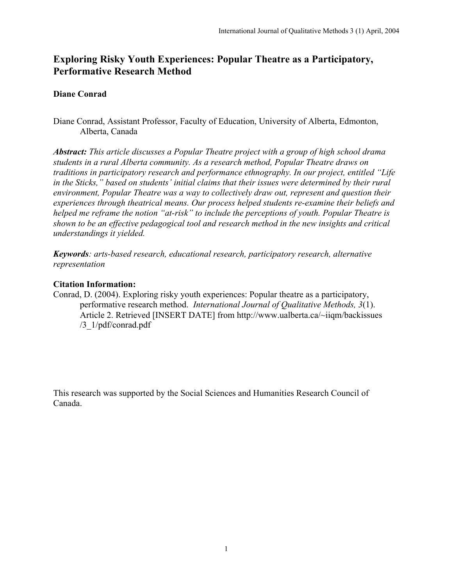# Exploring Risky Youth Experiences: Popular Theatre as a Participatory, Performative Research Method

## Diane Conrad

Diane Conrad, Assistant Professor, Faculty of Education, University of Alberta, Edmonton, Alberta, Canada

*Abstract: This article discusses a Popular Theatre project with a group of high school drama students in a rural Alberta community. As a research method, Popular Theatre draws on traditions in participatory research and performance ethnography. In our project, entitled "Life in the Sticks," based on students' initial claims that their issues were determined by their rural environment, Popular Theatre was a way to collectively draw out, represent and question their experiences through theatrical means. Our process helped students re-examine their beliefs and helped me reframe the notion "at-risk" to include the perceptions of youth. Popular Theatre is shown to be an effective pedagogical tool and research method in the new insights and critical understandings it yielded.*

*Keywords: arts-based research, educational research, participatory research, alternative representation*

## Citation Information:

Conrad, D. (2004). Exploring risky youth experiences: Popular theatre as a participatory, performative research method. *International Journal of Qualitative Methods, 3*(1). Article 2. Retrieved [INSERT DATE] from http://www.ualberta.ca/~iiqm/backissues /3\_1/pdf/conrad.pdf

This research was supported by the Social Sciences and Humanities Research Council of Canada.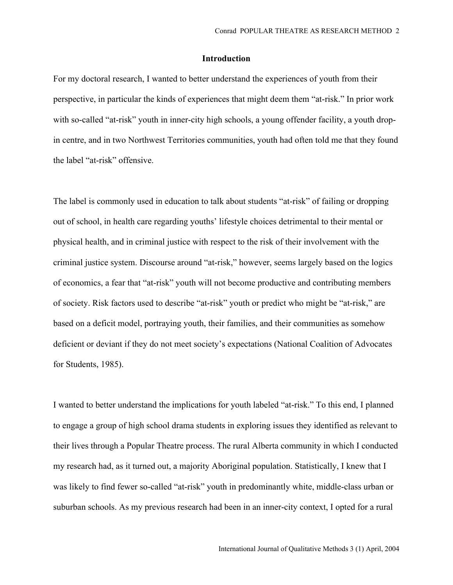## Introduction

For my doctoral research, I wanted to better understand the experiences of youth from their perspective, in particular the kinds of experiences that might deem them "at-risk." In prior work with so-called "at-risk" youth in inner-city high schools, a young offender facility, a youth dropin centre, and in two Northwest Territories communities, youth had often told me that they found the label "at-risk" offensive.

The label is commonly used in education to talk about students "at-risk" of failing or dropping out of school, in health care regarding youths' lifestyle choices detrimental to their mental or physical health, and in criminal justice with respect to the risk of their involvement with the criminal justice system. Discourse around "at-risk," however, seems largely based on the logics of economics, a fear that "at-risk" youth will not become productive and contributing members of society. Risk factors used to describe "at-risk" youth or predict who might be "at-risk," are based on a deficit model, portraying youth, their families, and their communities as somehow deficient or deviant if they do not meet society's expectations (National Coalition of Advocates for Students, 1985).

I wanted to better understand the implications for youth labeled "at-risk." To this end, I planned to engage a group of high school drama students in exploring issues they identified as relevant to their lives through a Popular Theatre process. The rural Alberta community in which I conducted my research had, as it turned out, a majority Aboriginal population. Statistically, I knew that I was likely to find fewer so-called "at-risk" youth in predominantly white, middle-class urban or suburban schools. As my previous research had been in an inner-city context, I opted for a rural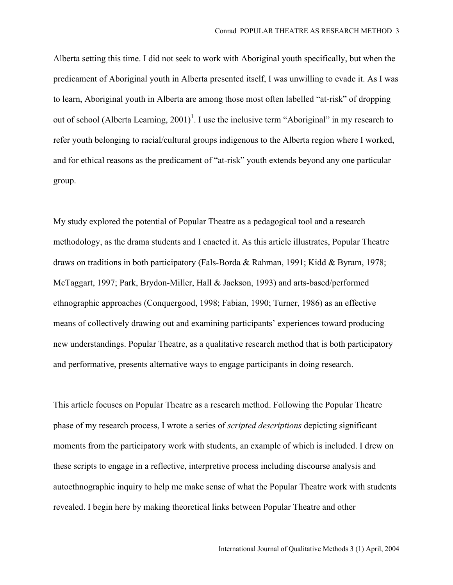Alberta setting this time. I did not seek to work with Aboriginal youth specifically, but when the predicament of Aboriginal youth in Alberta presented itself, I was unwilling to evade it. As I was to learn, Aboriginal youth in Alberta are among those most often labelled "at-risk" of dropping out of school (Alberta Learning,  $2001$ )<sup>1</sup>. I use the inclusive term "Aboriginal" in my research to refer youth belonging to racial/cultural groups indigenous to the Alberta region where I worked, and for ethical reasons as the predicament of "at-risk" youth extends beyond any one particular group.

My study explored the potential of Popular Theatre as a pedagogical tool and a research methodology, as the drama students and I enacted it. As this article illustrates, Popular Theatre draws on traditions in both participatory (Fals-Borda & Rahman, 1991; Kidd & Byram, 1978; McTaggart, 1997; Park, Brydon-Miller, Hall & Jackson, 1993) and arts-based/performed ethnographic approaches (Conquergood, 1998; Fabian, 1990; Turner, 1986) as an effective means of collectively drawing out and examining participants' experiences toward producing new understandings. Popular Theatre, as a qualitative research method that is both participatory and performative, presents alternative ways to engage participants in doing research.

This article focuses on Popular Theatre as a research method. Following the Popular Theatre phase of my research process, I wrote a series of *scripted descriptions* depicting significant moments from the participatory work with students, an example of which is included. I drew on these scripts to engage in a reflective, interpretive process including discourse analysis and autoethnographic inquiry to help me make sense of what the Popular Theatre work with students revealed. I begin here by making theoretical links between Popular Theatre and other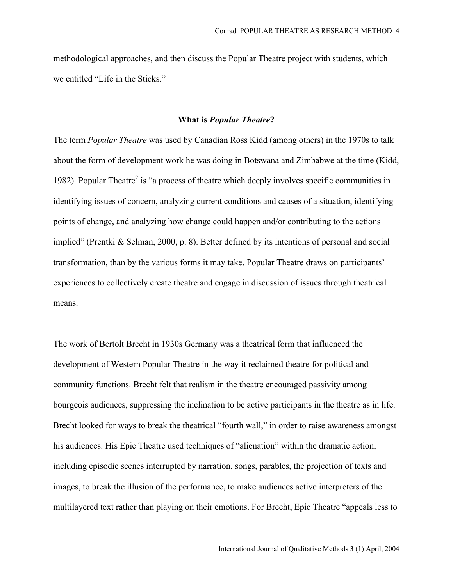methodological approaches, and then discuss the Popular Theatre project with students, which we entitled "Life in the Sticks."

### What is *Popular Theatre*?

The term *Popular Theatre* was used by Canadian Ross Kidd (among others) in the 1970s to talk about the form of development work he was doing in Botswana and Zimbabwe at the time (Kidd, 1982). Popular Theatre<sup>2</sup> is "a process of theatre which deeply involves specific communities in identifying issues of concern, analyzing current conditions and causes of a situation, identifying points of change, and analyzing how change could happen and/or contributing to the actions implied" (Prentki & Selman, 2000, p. 8). Better defined by its intentions of personal and social transformation, than by the various forms it may take, Popular Theatre draws on participants' experiences to collectively create theatre and engage in discussion of issues through theatrical means.

The work of Bertolt Brecht in 1930s Germany was a theatrical form that influenced the development of Western Popular Theatre in the way it reclaimed theatre for political and community functions. Brecht felt that realism in the theatre encouraged passivity among bourgeois audiences, suppressing the inclination to be active participants in the theatre as in life. Brecht looked for ways to break the theatrical "fourth wall," in order to raise awareness amongst his audiences. His Epic Theatre used techniques of "alienation" within the dramatic action, including episodic scenes interrupted by narration, songs, parables, the projection of texts and images, to break the illusion of the performance, to make audiences active interpreters of the multilayered text rather than playing on their emotions. For Brecht, Epic Theatre "appeals less to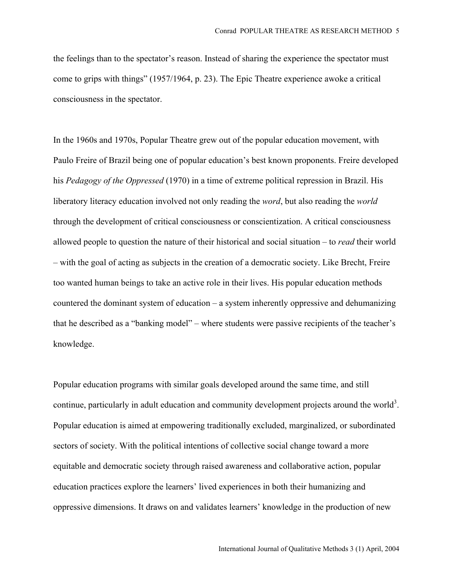the feelings than to the spectator's reason. Instead of sharing the experience the spectator must come to grips with things" (1957/1964, p. 23). The Epic Theatre experience awoke a critical consciousness in the spectator.

In the 1960s and 1970s, Popular Theatre grew out of the popular education movement, with Paulo Freire of Brazil being one of popular education's best known proponents. Freire developed his *Pedagogy of the Oppressed* (1970) in a time of extreme political repression in Brazil. His liberatory literacy education involved not only reading the *word*, but also reading the *world* through the development of critical consciousness or conscientization. A critical consciousness allowed people to question the nature of their historical and social situation – to *read* their world – with the goal of acting as subjects in the creation of a democratic society. Like Brecht, Freire too wanted human beings to take an active role in their lives. His popular education methods countered the dominant system of education – a system inherently oppressive and dehumanizing that he described as a "banking model" – where students were passive recipients of the teacher's knowledge.

Popular education programs with similar goals developed around the same time, and still continue, particularly in adult education and community development projects around the world<sup>3</sup>. Popular education is aimed at empowering traditionally excluded, marginalized, or subordinated sectors of society. With the political intentions of collective social change toward a more equitable and democratic society through raised awareness and collaborative action, popular education practices explore the learners' lived experiences in both their humanizing and oppressive dimensions. It draws on and validates learners' knowledge in the production of new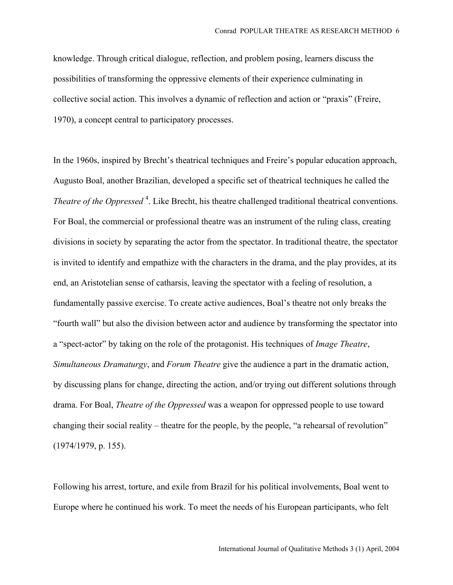knowledge. Through critical dialogue, reflection, and problem posing, learners discuss the possibilities of transforming the oppressive elements of their experience culminating in collective social action. This involves a dynamic of reflection and action or "praxis" (Freire, 1970), a concept central to participatory processes.

In the 1960s, inspired by Brecht's theatrical techniques and Freire's popular education approach, Augusto Boal, another Brazilian, developed a specific set of theatrical techniques he called the *Theatre of the Oppressed*<sup>4</sup>. Like Brecht, his theatre challenged traditional theatrical conventions. For Boal, the commercial or professional theatre was an instrument of the ruling class, creating divisions in society by separating the actor from the spectator. In traditional theatre, the spectator is invited to identify and empathize with the characters in the drama, and the play provides, at its end, an Aristotelian sense of catharsis, leaving the spectator with a feeling of resolution, a fundamentally passive exercise. To create active audiences, Boal's theatre not only breaks the "fourth wall" but also the division between actor and audience by transforming the spectator into a "spect-actor" by taking on the role of the protagonist. His techniques of *Image Theatre*, *Simultaneous Dramaturgy*, and *Forum Theatre* give the audience a part in the dramatic action, by discussing plans for change, directing the action, and/or trying out different solutions through drama. For Boal, *Theatre of the Oppressed* was a weapon for oppressed people to use toward changing their social reality – theatre for the people, by the people, "a rehearsal of revolution" (1974/1979, p. 155).

Following his arrest, torture, and exile from Brazil for his political involvements, Boal went to Europe where he continued his work. To meet the needs of his European participants, who felt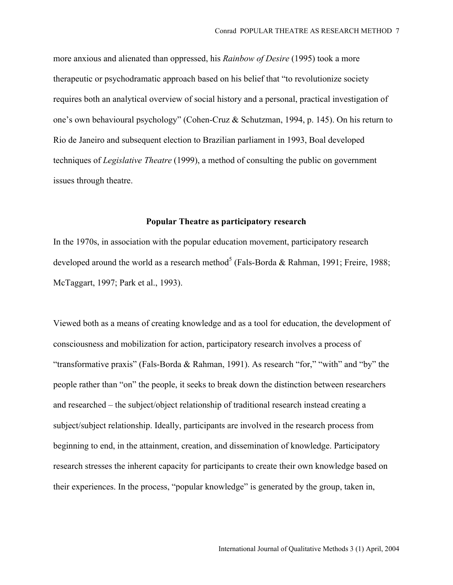more anxious and alienated than oppressed, his *Rainbow of Desire* (1995) took a more therapeutic or psychodramatic approach based on his belief that "to revolutionize society requires both an analytical overview of social history and a personal, practical investigation of one's own behavioural psychology" (Cohen-Cruz & Schutzman, 1994, p. 145). On his return to Rio de Janeiro and subsequent election to Brazilian parliament in 1993, Boal developed techniques of *Legislative Theatre* (1999), a method of consulting the public on government issues through theatre.

## Popular Theatre as participatory research

In the 1970s, in association with the popular education movement, participatory research developed around the world as a research method<sup>5</sup> (Fals-Borda & Rahman, 1991; Freire, 1988; McTaggart, 1997; Park et al., 1993).

Viewed both as a means of creating knowledge and as a tool for education, the development of consciousness and mobilization for action, participatory research involves a process of "transformative praxis" (Fals-Borda & Rahman, 1991). As research "for," "with" and "by" the people rather than "on" the people, it seeks to break down the distinction between researchers and researched – the subject/object relationship of traditional research instead creating a subject/subject relationship. Ideally, participants are involved in the research process from beginning to end, in the attainment, creation, and dissemination of knowledge. Participatory research stresses the inherent capacity for participants to create their own knowledge based on their experiences. In the process, "popular knowledge" is generated by the group, taken in,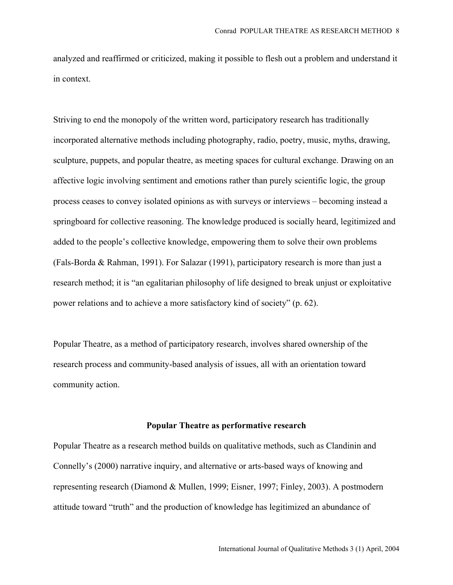analyzed and reaffirmed or criticized, making it possible to flesh out a problem and understand it in context.

Striving to end the monopoly of the written word, participatory research has traditionally incorporated alternative methods including photography, radio, poetry, music, myths, drawing, sculpture, puppets, and popular theatre, as meeting spaces for cultural exchange. Drawing on an affective logic involving sentiment and emotions rather than purely scientific logic, the group process ceases to convey isolated opinions as with surveys or interviews – becoming instead a springboard for collective reasoning. The knowledge produced is socially heard, legitimized and added to the people's collective knowledge, empowering them to solve their own problems (Fals-Borda & Rahman, 1991). For Salazar (1991), participatory research is more than just a research method; it is "an egalitarian philosophy of life designed to break unjust or exploitative power relations and to achieve a more satisfactory kind of society" (p. 62).

Popular Theatre, as a method of participatory research, involves shared ownership of the research process and community-based analysis of issues, all with an orientation toward community action.

#### Popular Theatre as performative research

Popular Theatre as a research method builds on qualitative methods, such as Clandinin and Connelly's (2000) narrative inquiry, and alternative or arts-based ways of knowing and representing research (Diamond & Mullen, 1999; Eisner, 1997; Finley, 2003). A postmodern attitude toward "truth" and the production of knowledge has legitimized an abundance of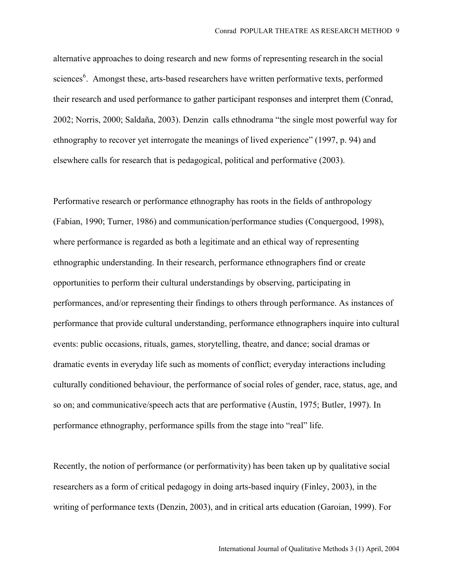alternative approaches to doing research and new forms of representing research in the social sciences<sup>6</sup>. Amongst these, arts-based researchers have written performative texts, performed their research and used performance to gather participant responses and interpret them (Conrad, 2002; Norris, 2000; Saldaña, 2003). Denzin calls ethnodrama "the single most powerful way for ethnography to recover yet interrogate the meanings of lived experience" (1997, p. 94) and elsewhere calls for research that is pedagogical, political and performative (2003).

Performative research or performance ethnography has roots in the fields of anthropology (Fabian, 1990; Turner, 1986) and communication/performance studies (Conquergood, 1998), where performance is regarded as both a legitimate and an ethical way of representing ethnographic understanding. In their research, performance ethnographers find or create opportunities to perform their cultural understandings by observing, participating in performances, and/or representing their findings to others through performance. As instances of performance that provide cultural understanding, performance ethnographers inquire into cultural events: public occasions, rituals, games, storytelling, theatre, and dance; social dramas or dramatic events in everyday life such as moments of conflict; everyday interactions including culturally conditioned behaviour, the performance of social roles of gender, race, status, age, and so on; and communicative/speech acts that are performative (Austin, 1975; Butler, 1997). In performance ethnography, performance spills from the stage into "real" life.

Recently, the notion of performance (or performativity) has been taken up by qualitative social researchers as a form of critical pedagogy in doing arts-based inquiry (Finley, 2003), in the writing of performance texts (Denzin, 2003), and in critical arts education (Garoian, 1999). For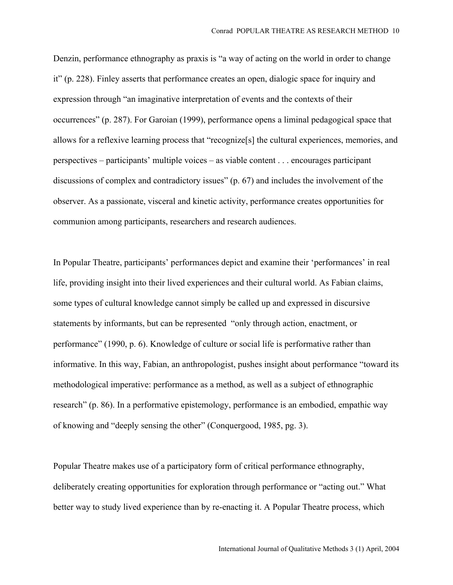Denzin, performance ethnography as praxis is "a way of acting on the world in order to change it" (p. 228). Finley asserts that performance creates an open, dialogic space for inquiry and expression through "an imaginative interpretation of events and the contexts of their occurrences" (p. 287). For Garoian (1999), performance opens a liminal pedagogical space that allows for a reflexive learning process that "recognize[s] the cultural experiences, memories, and perspectives – participants' multiple voices – as viable content . . . encourages participant discussions of complex and contradictory issues" (p. 67) and includes the involvement of the observer. As a passionate, visceral and kinetic activity, performance creates opportunities for communion among participants, researchers and research audiences.

In Popular Theatre, participants' performances depict and examine their 'performances' in real life, providing insight into their lived experiences and their cultural world. As Fabian claims, some types of cultural knowledge cannot simply be called up and expressed in discursive statements by informants, but can be represented "only through action, enactment, or performance" (1990, p. 6). Knowledge of culture or social life is performative rather than informative. In this way, Fabian, an anthropologist, pushes insight about performance "toward its methodological imperative: performance as a method, as well as a subject of ethnographic research" (p. 86). In a performative epistemology, performance is an embodied, empathic way of knowing and "deeply sensing the other" (Conquergood, 1985, pg. 3).

Popular Theatre makes use of a participatory form of critical performance ethnography, deliberately creating opportunities for exploration through performance or "acting out." What better way to study lived experience than by re-enacting it. A Popular Theatre process, which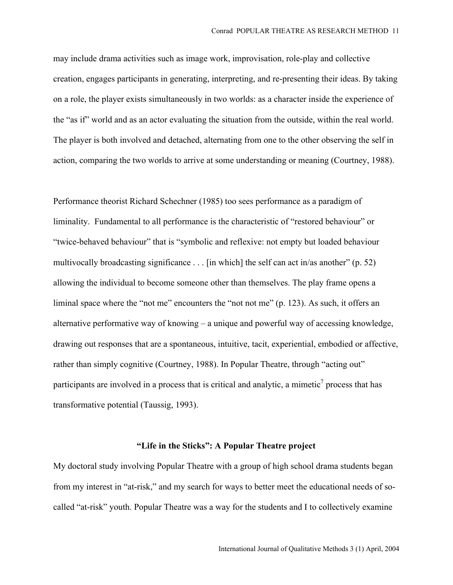may include drama activities such as image work, improvisation, role-play and collective creation, engages participants in generating, interpreting, and re-presenting their ideas. By taking on a role, the player exists simultaneously in two worlds: as a character inside the experience of the "as if" world and as an actor evaluating the situation from the outside, within the real world. The player is both involved and detached, alternating from one to the other observing the self in action, comparing the two worlds to arrive at some understanding or meaning (Courtney, 1988).

Performance theorist Richard Schechner (1985) too sees performance as a paradigm of liminality. Fundamental to all performance is the characteristic of "restored behaviour" or "twice-behaved behaviour" that is "symbolic and reflexive: not empty but loaded behaviour multivocally broadcasting significance . . . [in which] the self can act in/as another" (p. 52) allowing the individual to become someone other than themselves. The play frame opens a liminal space where the "not me" encounters the "not not me" (p. 123). As such, it offers an alternative performative way of knowing – a unique and powerful way of accessing knowledge, drawing out responses that are a spontaneous, intuitive, tacit, experiential, embodied or affective, rather than simply cognitive (Courtney, 1988). In Popular Theatre, through "acting out" participants are involved in a process that is critical and analytic, a mimetic<sup>7</sup> process that has transformative potential (Taussig, 1993).

## "Life in the Sticks": A Popular Theatre project

My doctoral study involving Popular Theatre with a group of high school drama students began from my interest in "at-risk," and my search for ways to better meet the educational needs of socalled "at-risk" youth. Popular Theatre was a way for the students and I to collectively examine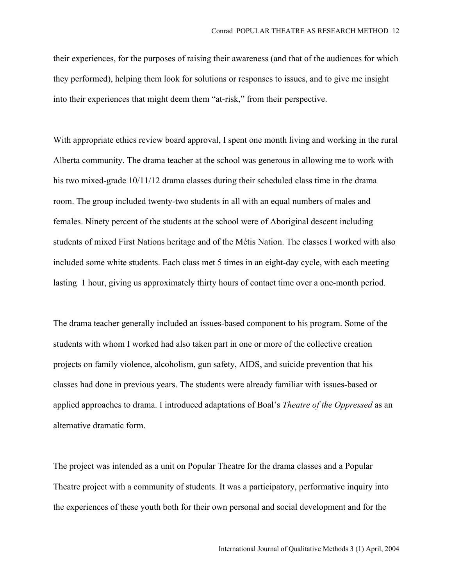their experiences, for the purposes of raising their awareness (and that of the audiences for which they performed), helping them look for solutions or responses to issues, and to give me insight into their experiences that might deem them "at-risk," from their perspective.

With appropriate ethics review board approval, I spent one month living and working in the rural Alberta community. The drama teacher at the school was generous in allowing me to work with his two mixed-grade 10/11/12 drama classes during their scheduled class time in the drama room. The group included twenty-two students in all with an equal numbers of males and females. Ninety percent of the students at the school were of Aboriginal descent including students of mixed First Nations heritage and of the Métis Nation. The classes I worked with also included some white students. Each class met 5 times in an eight-day cycle, with each meeting lasting 1 hour, giving us approximately thirty hours of contact time over a one-month period.

The drama teacher generally included an issues-based component to his program. Some of the students with whom I worked had also taken part in one or more of the collective creation projects on family violence, alcoholism, gun safety, AIDS, and suicide prevention that his classes had done in previous years. The students were already familiar with issues-based or applied approaches to drama. I introduced adaptations of Boal's *Theatre of the Oppressed* as an alternative dramatic form.

The project was intended as a unit on Popular Theatre for the drama classes and a Popular Theatre project with a community of students. It was a participatory, performative inquiry into the experiences of these youth both for their own personal and social development and for the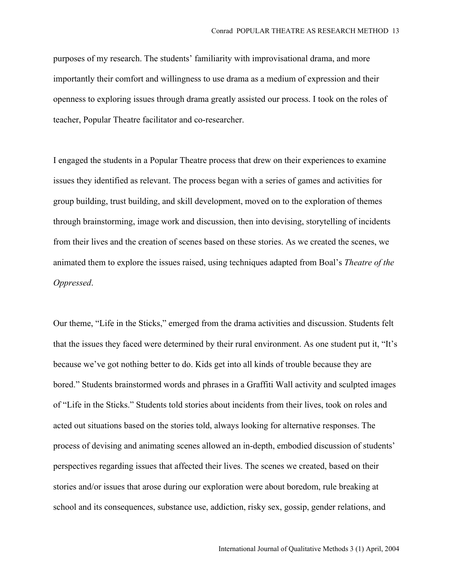purposes of my research. The students' familiarity with improvisational drama, and more importantly their comfort and willingness to use drama as a medium of expression and their openness to exploring issues through drama greatly assisted our process. I took on the roles of teacher, Popular Theatre facilitator and co-researcher.

I engaged the students in a Popular Theatre process that drew on their experiences to examine issues they identified as relevant. The process began with a series of games and activities for group building, trust building, and skill development, moved on to the exploration of themes through brainstorming, image work and discussion, then into devising, storytelling of incidents from their lives and the creation of scenes based on these stories. As we created the scenes, we animated them to explore the issues raised, using techniques adapted from Boal's *Theatre of the Oppressed*.

Our theme, "Life in the Sticks," emerged from the drama activities and discussion. Students felt that the issues they faced were determined by their rural environment. As one student put it, "It's because we've got nothing better to do. Kids get into all kinds of trouble because they are bored." Students brainstormed words and phrases in a Graffiti Wall activity and sculpted images of "Life in the Sticks." Students told stories about incidents from their lives, took on roles and acted out situations based on the stories told, always looking for alternative responses. The process of devising and animating scenes allowed an in-depth, embodied discussion of students' perspectives regarding issues that affected their lives. The scenes we created, based on their stories and/or issues that arose during our exploration were about boredom, rule breaking at school and its consequences, substance use, addiction, risky sex, gossip, gender relations, and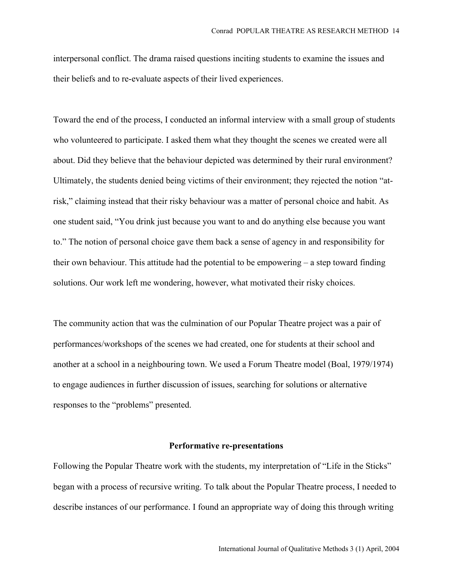interpersonal conflict. The drama raised questions inciting students to examine the issues and their beliefs and to re-evaluate aspects of their lived experiences.

Toward the end of the process, I conducted an informal interview with a small group of students who volunteered to participate. I asked them what they thought the scenes we created were all about. Did they believe that the behaviour depicted was determined by their rural environment? Ultimately, the students denied being victims of their environment; they rejected the notion "atrisk," claiming instead that their risky behaviour was a matter of personal choice and habit. As one student said, "You drink just because you want to and do anything else because you want to." The notion of personal choice gave them back a sense of agency in and responsibility for their own behaviour. This attitude had the potential to be empowering – a step toward finding solutions. Our work left me wondering, however, what motivated their risky choices.

The community action that was the culmination of our Popular Theatre project was a pair of performances/workshops of the scenes we had created, one for students at their school and another at a school in a neighbouring town. We used a Forum Theatre model (Boal, 1979/1974) to engage audiences in further discussion of issues, searching for solutions or alternative responses to the "problems" presented.

#### Performative re-presentations

Following the Popular Theatre work with the students, my interpretation of "Life in the Sticks" began with a process of recursive writing. To talk about the Popular Theatre process, I needed to describe instances of our performance. I found an appropriate way of doing this through writing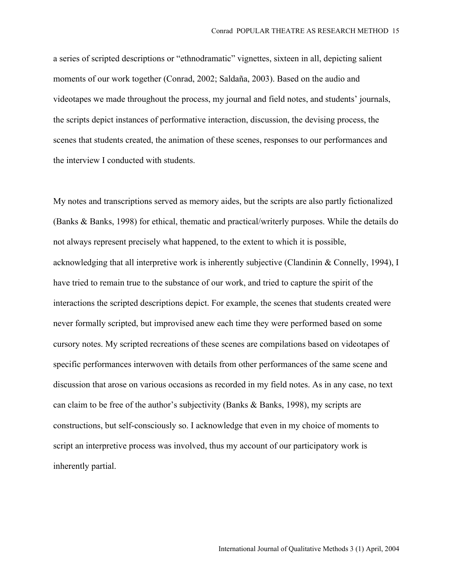a series of scripted descriptions or "ethnodramatic" vignettes, sixteen in all, depicting salient moments of our work together (Conrad, 2002; Saldaña, 2003). Based on the audio and videotapes we made throughout the process, my journal and field notes, and students' journals, the scripts depict instances of performative interaction, discussion, the devising process, the scenes that students created, the animation of these scenes, responses to our performances and the interview I conducted with students.

My notes and transcriptions served as memory aides, but the scripts are also partly fictionalized (Banks & Banks, 1998) for ethical, thematic and practical/writerly purposes. While the details do not always represent precisely what happened, to the extent to which it is possible, acknowledging that all interpretive work is inherently subjective (Clandinin & Connelly, 1994), I have tried to remain true to the substance of our work, and tried to capture the spirit of the interactions the scripted descriptions depict. For example, the scenes that students created were never formally scripted, but improvised anew each time they were performed based on some cursory notes. My scripted recreations of these scenes are compilations based on videotapes of specific performances interwoven with details from other performances of the same scene and discussion that arose on various occasions as recorded in my field notes. As in any case, no text can claim to be free of the author's subjectivity (Banks & Banks, 1998), my scripts are constructions, but self-consciously so. I acknowledge that even in my choice of moments to script an interpretive process was involved, thus my account of our participatory work is inherently partial.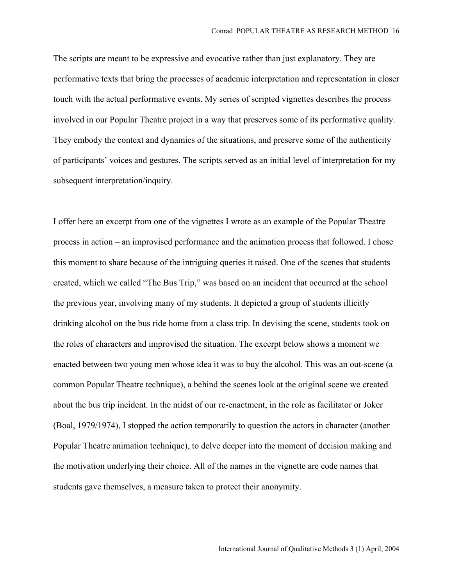The scripts are meant to be expressive and evocative rather than just explanatory. They are performative texts that bring the processes of academic interpretation and representation in closer touch with the actual performative events. My series of scripted vignettes describes the process involved in our Popular Theatre project in a way that preserves some of its performative quality. They embody the context and dynamics of the situations, and preserve some of the authenticity of participants' voices and gestures. The scripts served as an initial level of interpretation for my subsequent interpretation/inquiry.

I offer here an excerpt from one of the vignettes I wrote as an example of the Popular Theatre process in action – an improvised performance and the animation process that followed. I chose this moment to share because of the intriguing queries it raised. One of the scenes that students created, which we called "The Bus Trip," was based on an incident that occurred at the school the previous year, involving many of my students. It depicted a group of students illicitly drinking alcohol on the bus ride home from a class trip. In devising the scene, students took on the roles of characters and improvised the situation. The excerpt below shows a moment we enacted between two young men whose idea it was to buy the alcohol. This was an out-scene (a common Popular Theatre technique), a behind the scenes look at the original scene we created about the bus trip incident. In the midst of our re-enactment, in the role as facilitator or Joker (Boal, 1979/1974), I stopped the action temporarily to question the actors in character (another Popular Theatre animation technique), to delve deeper into the moment of decision making and the motivation underlying their choice. All of the names in the vignette are code names that students gave themselves, a measure taken to protect their anonymity.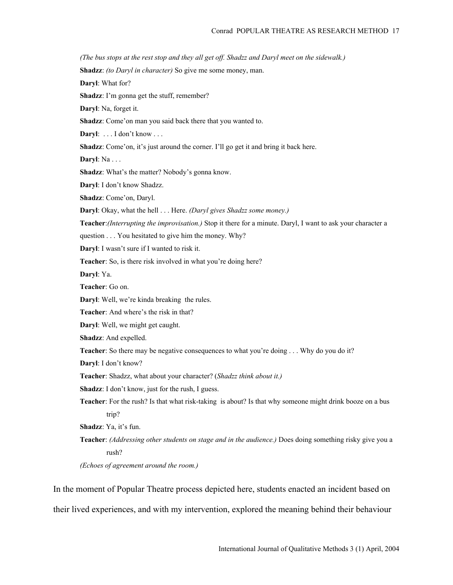*(The bus stops at the rest stop and they all get off. Shadzz and Daryl meet on the sidewalk.)*

Shadzz: *(to Daryl in character)* So give me some money, man.

Daryl: What for?

Shadzz: I'm gonna get the stuff, remember?

Daryl: Na, forget it.

Shadzz: Come'on man you said back there that you wanted to.

Daryl: . . . I don't know . . .

Shadzz: Come'on, it's just around the corner. I'll go get it and bring it back here.

Daryl: Na . . .

Shadzz: What's the matter? Nobody's gonna know.

Daryl: I don't know Shadzz.

Shadzz: Come'on, Daryl.

Daryl: Okay, what the hell . . . Here. *(Daryl gives Shadzz some money.)*

Teacher:*(Interrupting the improvisation.)* Stop it there for a minute. Daryl, I want to ask your character a

question . . . You hesitated to give him the money. Why?

Daryl: I wasn't sure if I wanted to risk it.

Teacher: So, is there risk involved in what you're doing here?

Daryl: Ya.

Teacher: Go on.

Daryl: Well, we're kinda breaking the rules.

Teacher: And where's the risk in that?

Daryl: Well, we might get caught.

Shadzz: And expelled.

Teacher: So there may be negative consequences to what you're doing . . . Why do you do it?

Daryl: I don't know?

Teacher: Shadzz, what about your character? (*Shadzz think about it.)*

Shadzz: I don't know, just for the rush, I guess.

Teacher: For the rush? Is that what risk-taking is about? Is that why someone might drink booze on a bus trin?

Shadzz: Ya, it's fun.

Teacher: *(Addressing other students on stage and in the audience.)* Does doing something risky give you a rush?

*(Echoes of agreement around the room.)*

In the moment of Popular Theatre process depicted here, students enacted an incident based on their lived experiences, and with my intervention, explored the meaning behind their behaviour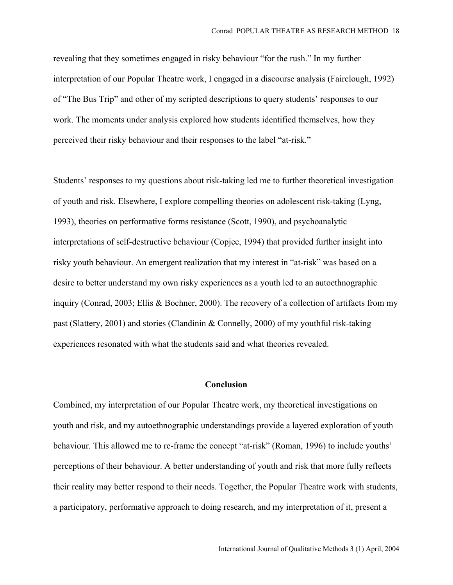revealing that they sometimes engaged in risky behaviour "for the rush." In my further interpretation of our Popular Theatre work, I engaged in a discourse analysis (Fairclough, 1992) of "The Bus Trip" and other of my scripted descriptions to query students' responses to our work. The moments under analysis explored how students identified themselves, how they perceived their risky behaviour and their responses to the label "at-risk."

Students' responses to my questions about risk-taking led me to further theoretical investigation of youth and risk. Elsewhere, I explore compelling theories on adolescent risk-taking (Lyng, 1993), theories on performative forms resistance (Scott, 1990), and psychoanalytic interpretations of self-destructive behaviour (Copjec, 1994) that provided further insight into risky youth behaviour. An emergent realization that my interest in "at-risk" was based on a desire to better understand my own risky experiences as a youth led to an autoethnographic inquiry (Conrad, 2003; Ellis & Bochner, 2000). The recovery of a collection of artifacts from my past (Slattery, 2001) and stories (Clandinin & Connelly, 2000) of my youthful risk-taking experiences resonated with what the students said and what theories revealed.

### Conclusion

Combined, my interpretation of our Popular Theatre work, my theoretical investigations on youth and risk, and my autoethnographic understandings provide a layered exploration of youth behaviour. This allowed me to re-frame the concept "at-risk" (Roman, 1996) to include youths' perceptions of their behaviour. A better understanding of youth and risk that more fully reflects their reality may better respond to their needs. Together, the Popular Theatre work with students, a participatory, performative approach to doing research, and my interpretation of it, present a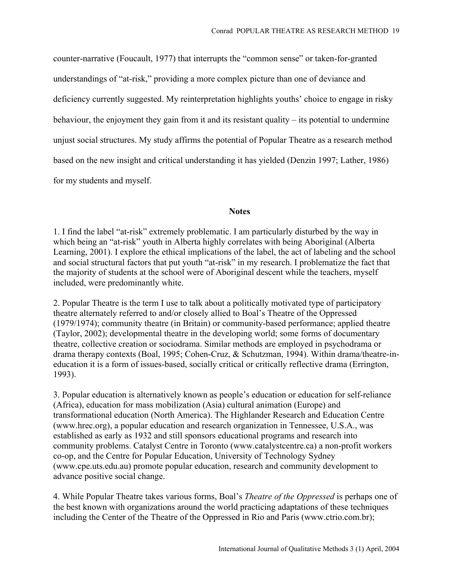counter-narrative (Foucault, 1977) that interrupts the "common sense" or taken-for-granted understandings of "at-risk," providing a more complex picture than one of deviance and deficiency currently suggested. My reinterpretation highlights youths' choice to engage in risky behaviour, the enjoyment they gain from it and its resistant quality – its potential to undermine unjust social structures. My study affirms the potential of Popular Theatre as a research method based on the new insight and critical understanding it has yielded (Denzin 1997; Lather, 1986) for my students and myself.

## **Notes**

1. I find the label "at-risk" extremely problematic. I am particularly disturbed by the way in which being an "at-risk" youth in Alberta highly correlates with being Aboriginal (Alberta Learning, 2001). I explore the ethical implications of the label, the act of labeling and the school and social structural factors that put youth "at-risk" in my research. I problematize the fact that the majority of students at the school were of Aboriginal descent while the teachers, myself included, were predominantly white.

2. Popular Theatre is the term I use to talk about a politically motivated type of participatory theatre alternately referred to and/or closely allied to Boal's Theatre of the Oppressed (1979/1974); community theatre (in Britain) or community-based performance; applied theatre (Taylor, 2002); developmental theatre in the developing world; some forms of documentary theatre, collective creation or sociodrama. Similar methods are employed in psychodrama or drama therapy contexts (Boal, 1995; Cohen-Cruz, & Schutzman, 1994). Within drama/theatre-ineducation it is a form of issues-based, socially critical or critically reflective drama (Errington, 1993).

3. Popular education is alternatively known as people's education or education for self-reliance (Africa), education for mass mobilization (Asia) cultural animation (Europe) and transformational education (North America). The Highlander Research and Education Centre (www.hrec.org), a popular education and research organization in Tennessee, U.S.A., was established as early as 1932 and still sponsors educational programs and research into community problems. Catalyst Centre in Toronto (www.catalystcentre.ca) a non-profit workers co-op, and the Centre for Popular Education, University of Technology Sydney (www.cpe.uts.edu.au) promote popular education, research and community development to advance positive social change.

4. While Popular Theatre takes various forms, Boal's *Theatre of the Oppressed* is perhaps one of the best known with organizations around the world practicing adaptations of these techniques including the Center of the Theatre of the Oppressed in Rio and Paris (www.ctrio.com.br);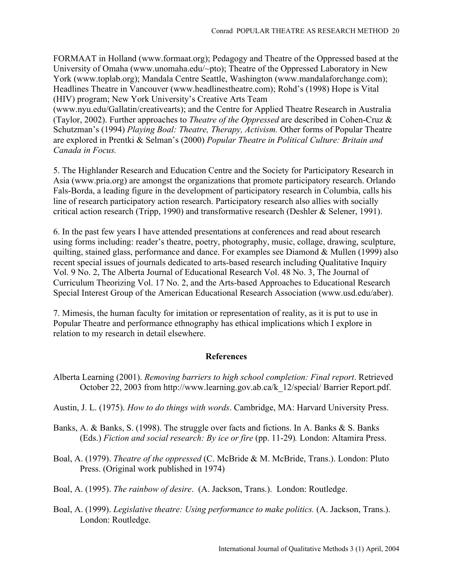FORMAAT in Holland (www.formaat.org); Pedagogy and Theatre of the Oppressed based at the University of Omaha (www.unomaha.edu/~pto); Theatre of the Oppressed Laboratory in New York (www.toplab.org); Mandala Centre Seattle, Washington (www.mandalaforchange.com); Headlines Theatre in Vancouver (www.headlinestheatre.com); Rohd's (1998) Hope is Vital (HIV) program; New York University's Creative Arts Team

(www.nyu.edu/Gallatin/creativearts); and the Centre for Applied Theatre Research in Australia (Taylor, 2002). Further approaches to *Theatre of the Oppressed* are described in Cohen-Cruz & Schutzman's (1994) *Playing Boal: Theatre, Therapy, Activism.* Other forms of Popular Theatre are explored in Prentki & Selman's (2000) *Popular Theatre in Political Culture: Britain and Canada in Focus.*

5. The Highlander Research and Education Centre and the Society for Participatory Research in Asia (www.pria.org) are amongst the organizations that promote participatory research. Orlando Fals-Borda, a leading figure in the development of participatory research in Columbia, calls his line of research participatory action research. Participatory research also allies with socially critical action research (Tripp, 1990) and transformative research (Deshler & Selener, 1991).

6. In the past few years I have attended presentations at conferences and read about research using forms including: reader's theatre, poetry, photography, music, collage, drawing, sculpture, quilting, stained glass, performance and dance. For examples see Diamond & Mullen (1999) also recent special issues of journals dedicated to arts-based research including Qualitative Inquiry Vol. 9 No. 2, The Alberta Journal of Educational Research Vol. 48 No. 3, The Journal of Curriculum Theorizing Vol. 17 No. 2, and the Arts-based Approaches to Educational Research Special Interest Group of the American Educational Research Association (www.usd.edu/aber).

7. Mimesis, the human faculty for imitation or representation of reality, as it is put to use in Popular Theatre and performance ethnography has ethical implications which I explore in relation to my research in detail elsewhere.

## References

- Alberta Learning (2001). *Removing barriers to high school completion: Final report*. Retrieved October 22, 2003 from http://www.learning.gov.ab.ca/k\_12/special/ Barrier Report.pdf.
- Austin, J. L. (1975). *How to do things with words*. Cambridge, MA: Harvard University Press.
- Banks, A. & Banks, S. (1998). The struggle over facts and fictions. In A. Banks & S. Banks (Eds.) *Fiction and social research: By ice or fire* (pp. 11-29)*.* London: Altamira Press.
- Boal, A. (1979). *Theatre of the oppressed* (C. McBride & M. McBride, Trans.). London: Pluto Press. (Original work published in 1974)
- Boal, A. (1995). *The rainbow of desire*. (A. Jackson, Trans.). London: Routledge.
- Boal, A. (1999). *Legislative theatre: Using performance to make politics.* (A. Jackson, Trans.). London: Routledge.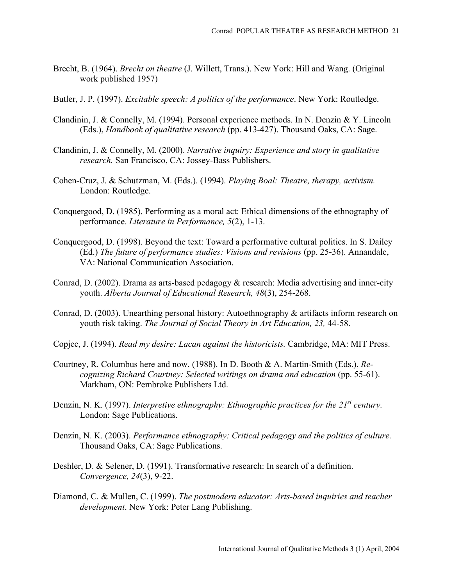- Brecht, B. (1964). *Brecht on theatre* (J. Willett, Trans.). New York: Hill and Wang. (Original work published 1957)
- Butler, J. P. (1997). *Excitable speech: A politics of the performance*. New York: Routledge.
- Clandinin, J. & Connelly, M. (1994). Personal experience methods. In N. Denzin & Y. Lincoln (Eds.), *Handbook of qualitative research* (pp. 413-427). Thousand Oaks, CA: Sage.
- Clandinin, J. & Connelly, M. (2000). *Narrative inquiry: Experience and story in qualitative research.* San Francisco, CA: Jossey-Bass Publishers.
- Cohen-Cruz, J. & Schutzman, M. (Eds.). (1994). *Playing Boal: Theatre, therapy, activism.* London: Routledge.
- Conquergood, D. (1985). Performing as a moral act: Ethical dimensions of the ethnography of performance. *Literature in Performance, 5*(2), 1-13.
- Conquergood, D. (1998). Beyond the text: Toward a performative cultural politics. In S. Dailey (Ed.) *The future of performance studies: Visions and revisions* (pp. 25-36). Annandale, VA: National Communication Association.
- Conrad, D. (2002). Drama as arts-based pedagogy & research: Media advertising and inner-city youth. *Alberta Journal of Educational Research, 48*(3), 254-268.
- Conrad, D. (2003). Unearthing personal history: Autoethnography & artifacts inform research on youth risk taking. *The Journal of Social Theory in Art Education, 23,* 44-58.
- Copjec, J. (1994). *Read my desire: Lacan against the historicists.* Cambridge, MA: MIT Press.
- Courtney, R. Columbus here and now. (1988). In D. Booth & A. Martin-Smith (Eds.), *Recognizing Richard Courtney: Selected writings on drama and education* (pp. 55-61). Markham, ON: Pembroke Publishers Ltd.
- Denzin, N. K. (1997). *Interpretive ethnography: Ethnographic practices for the 21<sup>st</sup> century.* London: Sage Publications.
- Denzin, N. K. (2003). *Performance ethnography: Critical pedagogy and the politics of culture.* Thousand Oaks, CA: Sage Publications.
- Deshler, D. & Selener, D. (1991). Transformative research: In search of a definition. *Convergence, 24*(3), 9-22.
- Diamond, C. & Mullen, C. (1999). *The postmodern educator: Arts-based inquiries and teacher development*. New York: Peter Lang Publishing.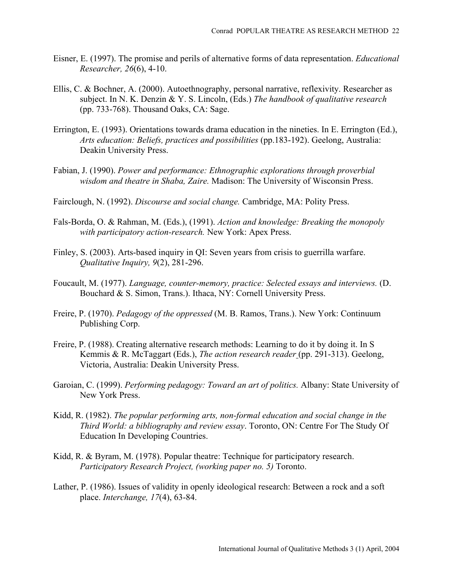- Eisner, E. (1997). The promise and perils of alternative forms of data representation. *Educational Researcher, 26*(6), 4-10.
- Ellis, C. & Bochner, A. (2000). Autoethnography, personal narrative, reflexivity. Researcher as subject. In N. K. Denzin & Y. S. Lincoln, (Eds.) *The handbook of qualitative research* (pp. 733-768). Thousand Oaks, CA: Sage.
- Errington, E. (1993). Orientations towards drama education in the nineties. In E. Errington (Ed.), *Arts education: Beliefs, practices and possibilities* (pp.183-192). Geelong, Australia: Deakin University Press.
- Fabian, J. (1990). *Power and performance: Ethnographic explorations through proverbial wisdom and theatre in Shaba, Zaire.* Madison: The University of Wisconsin Press.
- Fairclough, N. (1992). *Discourse and social change.* Cambridge, MA: Polity Press.
- Fals-Borda, O. & Rahman, M. (Eds.), (1991). *Action and knowledge: Breaking the monopoly with participatory action-research.* New York: Apex Press.
- Finley, S. (2003). Arts-based inquiry in QI: Seven years from crisis to guerrilla warfare. *Qualitative Inquiry, 9*(2), 281-296.
- Foucault, M. (1977). *Language, counter-memory, practice: Selected essays and interviews.* (D. Bouchard & S. Simon, Trans.). Ithaca, NY: Cornell University Press.
- Freire, P. (1970). *Pedagogy of the oppressed* (M. B. Ramos, Trans.). New York: Continuum Publishing Corp.
- Freire, P. (1988). Creating alternative research methods: Learning to do it by doing it. In S Kemmis & R. McTaggart (Eds.), *The action research reader* (pp. 291-313). Geelong, Victoria, Australia: Deakin University Press.
- Garoian, C. (1999). *Performing pedagogy: Toward an art of politics.* Albany: State University of New York Press.
- Kidd, R. (1982). *The popular performing arts, non-formal education and social change in the Third World: a bibliography and review essay*. Toronto, ON: Centre For The Study Of Education In Developing Countries.
- Kidd, R. & Byram, M. (1978). Popular theatre: Technique for participatory research. *Participatory Research Project, (working paper no. 5)* Toronto.
- Lather, P. (1986). Issues of validity in openly ideological research: Between a rock and a soft place. *Interchange, 17*(4), 63-84.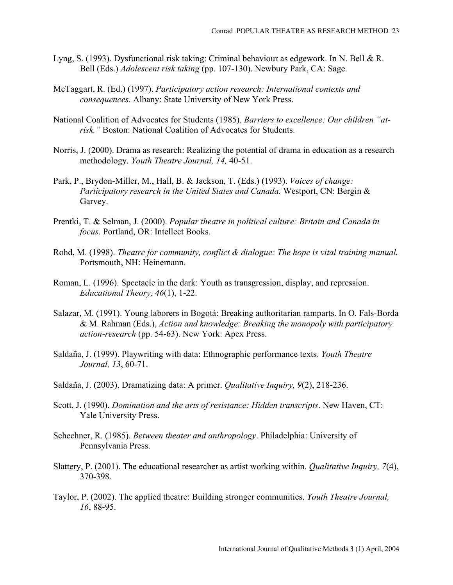- Lyng, S. (1993). Dysfunctional risk taking: Criminal behaviour as edgework. In N. Bell & R. Bell (Eds.) *Adolescent risk taking* (pp. 107-130). Newbury Park, CA: Sage.
- McTaggart, R. (Ed.) (1997). *Participatory action research: International contexts and consequences*. Albany: State University of New York Press.
- National Coalition of Advocates for Students (1985). *Barriers to excellence: Our children "atrisk."* Boston: National Coalition of Advocates for Students.
- Norris, J. (2000). Drama as research: Realizing the potential of drama in education as a research methodology. *Youth Theatre Journal, 14,* 40-51.
- Park, P., Brydon-Miller, M., Hall, B. & Jackson, T. (Eds.) (1993). *Voices of change: Participatory research in the United States and Canada.* Westport, CN: Bergin & Garvey.
- Prentki, T. & Selman, J. (2000). *Popular theatre in political culture: Britain and Canada in focus.* Portland, OR: Intellect Books.
- Rohd, M. (1998). *Theatre for community, conflict & dialogue: The hope is vital training manual.* Portsmouth, NH: Heinemann.
- Roman, L. (1996). Spectacle in the dark: Youth as transgression, display, and repression. *Educational Theory, 46*(1), 1-22.
- Salazar, M. (1991). Young laborers in Bogotá: Breaking authoritarian ramparts. In O. Fals-Borda & M. Rahman (Eds.), *Action and knowledge: Breaking the monopoly with participatory action-research* (pp. 54-63). New York: Apex Press.
- Saldaña, J. (1999). Playwriting with data: Ethnographic performance texts. *Youth Theatre Journal, 13*, 60-71.
- Saldaña, J. (2003). Dramatizing data: A primer. *Qualitative Inquiry, 9*(2), 218-236.
- Scott, J. (1990). *Domination and the arts of resistance: Hidden transcripts*. New Haven, CT: Yale University Press.
- Schechner, R. (1985). *Between theater and anthropology*. Philadelphia: University of Pennsylvania Press.
- Slattery, P. (2001). The educational researcher as artist working within. *Qualitative Inquiry, 7*(4), 370-398.
- Taylor, P. (2002). The applied theatre: Building stronger communities. *Youth Theatre Journal, 16*, 88-95.